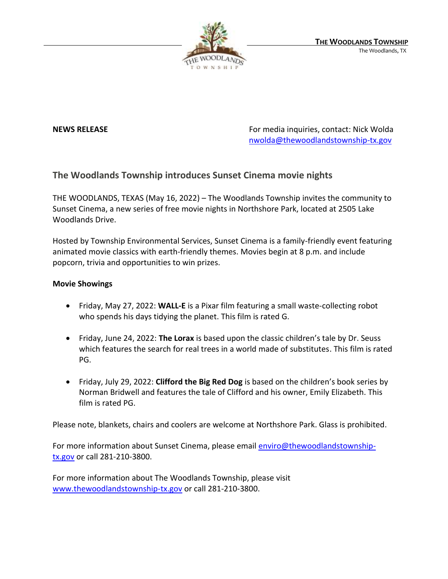

**NEWS RELEASE** For media inquiries, contact: Nick Wolda **NEWS** RELEASE [nwolda@thewoodlandstownship-tx.gov](mailto:nwolda@thewoodlandstownship-tx.gov)

## **The Woodlands Township introduces Sunset Cinema movie nights**

THE WOODLANDS, TEXAS (May 16, 2022) – The Woodlands Township invites the community to Sunset Cinema, a new series of free movie nights in Northshore Park, located at 2505 Lake Woodlands Drive.

Hosted by Township Environmental Services, Sunset Cinema is a family-friendly event featuring animated movie classics with earth-friendly themes. Movies begin at 8 p.m. and include popcorn, trivia and opportunities to win prizes.

## **Movie Showings**

- Friday, May 27, 2022: **WALL-E** is a Pixar film featuring a small waste-collecting robot who spends his days tidying the planet. This film is rated G.
- Friday, June 24, 2022: **The Lorax** is based upon the classic children's tale by Dr. Seuss which features the search for real trees in a world made of substitutes. This film is rated PG.
- Friday, July 29, 2022: **Clifford the Big Red Dog** is based on the children's book series by Norman Bridwell and features the tale of Clifford and his owner, Emily Elizabeth. This film is rated PG.

Please note, blankets, chairs and coolers are welcome at Northshore Park. Glass is prohibited.

For more information about Sunset Cinema, please email **enviro@thewoodlandstownship**[tx.gov](mailto:enviro@thewoodlandstownship-tx.gov) or call 281-210-3800.

For more information about The Woodlands Township, please visit [www.thewoodlandstownship-tx.gov](http://www.thewoodlandstownship-tx.gov/) or call 281-210-3800.